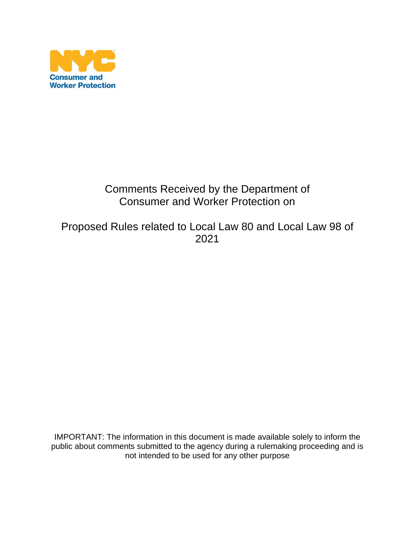

## Comments Received by the Department of Consumer and Worker Protection on

Proposed Rules related to Local Law 80 and Local Law 98 of 2021

IMPORTANT: The information in this document is made available solely to inform the public about comments submitted to the agency during a rulemaking proceeding and is not intended to be used for any other purpose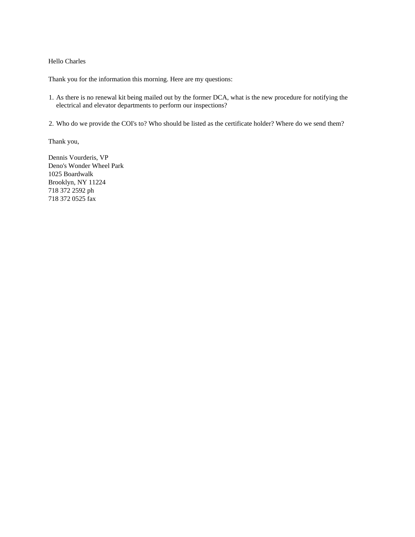## Hello Charles

Thank you for the information this morning. Here are my questions:

- 1. As there is no renewal kit being mailed out by the former DCA, what is the new procedure for notifying the electrical and elevator departments to perform our inspections?
- 2. Who do we provide the COI's to? Who should be listed as the certificate holder? Where do we send them?

Thank you,

Dennis Vourderis, VP Deno's Wonder Wheel Park 1025 Boardwalk Brooklyn, NY 11224 718 372 2592 ph 718 372 0525 fax